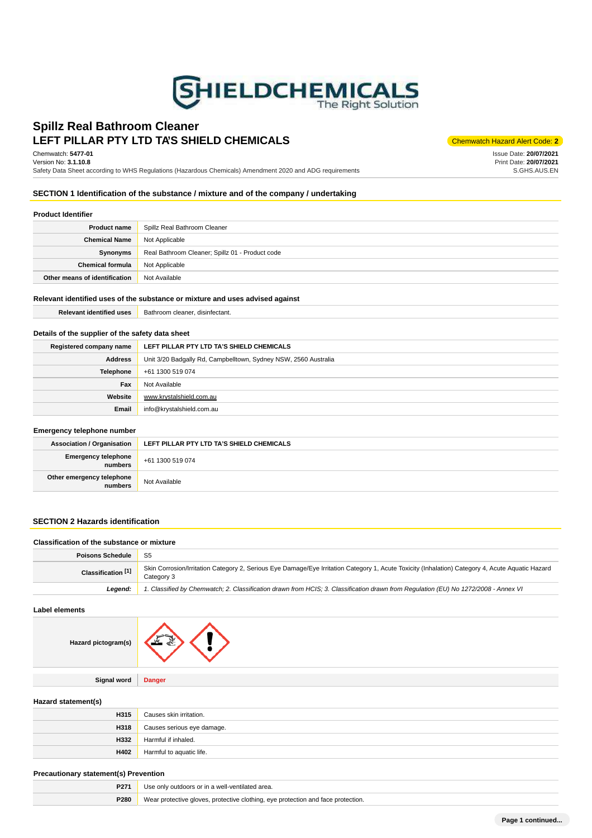

# LEFT PILLAR PTY LTD TA'S SHIELD CHEMICALS **Chemwatch Hazard Alert Code: 2 Spillz Real Bathroom Cleaner**

Chemwatch: **5477-01** Version No: **3.1.10.8**

Safety Data Sheet according to WHS Regulations (Hazardous Chemicals) Amendment 2020 and ADG requirements

Issue Date: **20/07/2021** Print Date: **20/07/2021** S.GHS.AUS.EN

# **SECTION 1 Identification of the substance / mixture and of the company / undertaking**

#### **Product Identifier**

| <b>Product name</b>           | Spillz Real Bathroom Cleaner                    |
|-------------------------------|-------------------------------------------------|
| <b>Chemical Name</b>          | Not Applicable                                  |
| Synonyms                      | Real Bathroom Cleaner; Spillz 01 - Product code |
| <b>Chemical formula</b>       | Not Applicable                                  |
| Other means of identification | Not Available                                   |

### **Relevant identified uses of the substance or mixture and uses advised against**

| <b>Relevant identified uses</b> | Bathroom cleaner, disinfectant. |
|---------------------------------|---------------------------------|
|---------------------------------|---------------------------------|

## **Details of the supplier of the safety data sheet**

| Registered company name | LEFT PILLAR PTY LTD TA'S SHIELD CHEMICALS                       |
|-------------------------|-----------------------------------------------------------------|
| <b>Address</b>          | Unit 3/20 Badgally Rd, Campbelltown, Sydney NSW, 2560 Australia |
| <b>Telephone</b>        | +61 1300 519 074                                                |
| Fax                     | Not Available                                                   |
| Website                 | www.krystalshield.com.au                                        |
| Email                   | info@krystalshield.com.au                                       |

#### **Emergency telephone number**

| $F = 1101$ gono $f = 0.00$ propriotive intermediate |                                           |  |
|-----------------------------------------------------|-------------------------------------------|--|
| <b>Association / Organisation</b>                   | LEFT PILLAR PTY LTD TA'S SHIELD CHEMICALS |  |
| <b>Emergency telephone</b><br><b>I</b> numbers      | +61 1300 519 074                          |  |
| Other emergency telephone<br>numbers                | Not Available                             |  |

# **SECTION 2 Hazards identification**

## **Classification of the substance or mixture**

| <b>Poisons Schedule</b>       | S <sub>5</sub>                                                                                                                                                 |
|-------------------------------|----------------------------------------------------------------------------------------------------------------------------------------------------------------|
| Classification <sup>[1]</sup> | Skin Corrosion/Irritation Category 2, Serious Eye Damage/Eye Irritation Category 1, Acute Toxicity (Inhalation) Category 4, Acute Aquatic Hazard<br>Category 3 |
| Leaend:                       | 1. Classified by Chemwatch; 2. Classification drawn from HCIS; 3. Classification drawn from Regulation (EU) No 1272/2008 - Annex VI                            |

### **Label elements**

| Hazard pictogram(s) |               |
|---------------------|---------------|
|                     |               |
| <b>Signal word</b>  | <b>Danger</b> |

### **Hazard statement(s)**

| H315 | Causes skin irritation.    |
|------|----------------------------|
| H318 | Causes serious eye damage. |
| H332 | Harmful if inhaled.        |
| H402 | Harmful to aquatic life.   |

#### **Precautionary statement(s) Prevention**

| P271 | e only outdoors or in a well-ventilated area.<br>Use                             |  |
|------|----------------------------------------------------------------------------------|--|
| P280 | Wear protective gloves, protective clothing, eye protection and face protection. |  |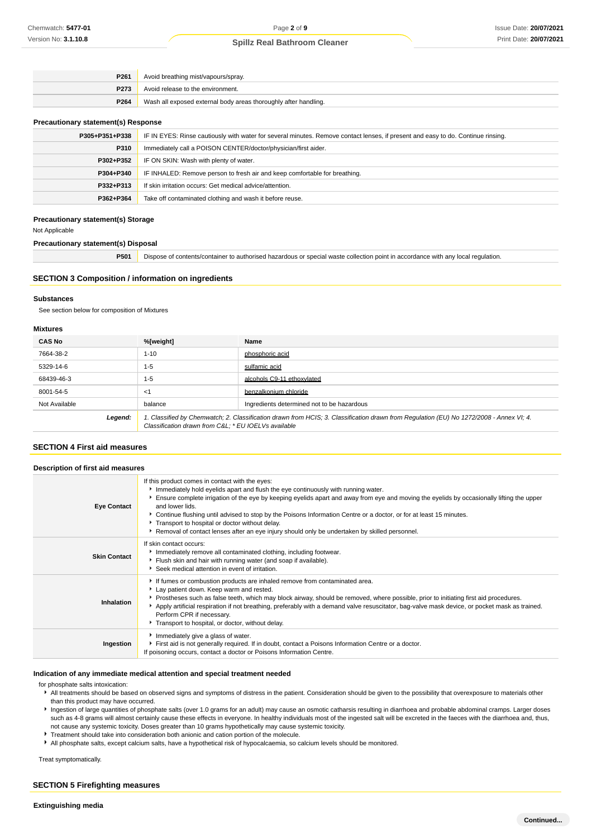| P261             | Avoid breathing mist/vapours/spray.                             |  |
|------------------|-----------------------------------------------------------------|--|
| P <sub>273</sub> | Avoid release to the environment.                               |  |
| P264             | Wash all exposed external body areas thoroughly after handling. |  |

#### **Precautionary statement(s) Response**

| P305+P351+P338 | IF IN EYES: Rinse cautiously with water for several minutes. Remove contact lenses, if present and easy to do. Continue rinsing. |
|----------------|----------------------------------------------------------------------------------------------------------------------------------|
| P310           | Immediately call a POISON CENTER/doctor/physician/first aider.                                                                   |
| P302+P352      | IF ON SKIN: Wash with plenty of water.                                                                                           |
| P304+P340      | IF INHALED: Remove person to fresh air and keep comfortable for breathing.                                                       |
| P332+P313      | If skin irritation occurs: Get medical advice/attention.                                                                         |
| P362+P364      | Take off contaminated clothing and wash it before reuse.                                                                         |

#### **Precautionary statement(s) Storage**

Not Applicable

## **Precautionary statement(s) Disposal**

**P501** Dispose of contents/container to authorised hazardous or special waste collection point in accordance with any local regulation.

### **SECTION 3 Composition / information on ingredients**

## **Substances**

See section below for composition of Mixtures

#### **Mixtures**

| <b>CAS No</b> | %[weight]                                           | Name                                                                                                                                    |
|---------------|-----------------------------------------------------|-----------------------------------------------------------------------------------------------------------------------------------------|
| 7664-38-2     | $1 - 10$                                            | phosphoric acid                                                                                                                         |
| 5329-14-6     | $1 - 5$                                             | sulfamic acid                                                                                                                           |
| 68439-46-3    | $1 - 5$                                             | alcohols C9-11 ethoxylated                                                                                                              |
| 8001-54-5     | $<$ 1                                               | benzalkonium chloride                                                                                                                   |
| Not Available | balance                                             | Ingredients determined not to be hazardous                                                                                              |
| Legend:       | Classification drawn from C&L * EU IOELVs available | 1. Classified by Chemwatch; 2. Classification drawn from HCIS; 3. Classification drawn from Regulation (EU) No 1272/2008 - Annex VI; 4. |

## **SECTION 4 First aid measures**

| Description of first aid measures |                                                                                                                                                                                                                                                                                                                                                                                                                                                                                                                                                                                   |
|-----------------------------------|-----------------------------------------------------------------------------------------------------------------------------------------------------------------------------------------------------------------------------------------------------------------------------------------------------------------------------------------------------------------------------------------------------------------------------------------------------------------------------------------------------------------------------------------------------------------------------------|
| <b>Eye Contact</b>                | If this product comes in contact with the eyes:<br>Immediately hold eyelids apart and flush the eye continuously with running water.<br>Ensure complete irrigation of the eye by keeping eyelids apart and away from eye and moving the eyelids by occasionally lifting the upper<br>and lower lids.<br>▶ Continue flushing until advised to stop by the Poisons Information Centre or a doctor, or for at least 15 minutes.<br>Transport to hospital or doctor without delay.<br>▶ Removal of contact lenses after an eye injury should only be undertaken by skilled personnel. |
| <b>Skin Contact</b>               | If skin contact occurs:<br>Inmediately remove all contaminated clothing, including footwear.<br>Flush skin and hair with running water (and soap if available).<br>Seek medical attention in event of irritation.                                                                                                                                                                                                                                                                                                                                                                 |
| Inhalation                        | If fumes or combustion products are inhaled remove from contaminated area.<br>Lay patient down. Keep warm and rested.<br>▶ Prostheses such as false teeth, which may block airway, should be removed, where possible, prior to initiating first aid procedures.<br>Apply artificial respiration if not breathing, preferably with a demand valve resuscitator, bag-valve mask device, or pocket mask as trained.<br>Perform CPR if necessary.<br>Transport to hospital, or doctor, without delay.                                                                                 |
| Ingestion                         | Immediately give a glass of water.<br>First aid is not generally required. If in doubt, contact a Poisons Information Centre or a doctor.<br>If poisoning occurs, contact a doctor or Poisons Information Centre.                                                                                                                                                                                                                                                                                                                                                                 |

### **Indication of any immediate medical attention and special treatment needed**

for phosphate salts intoxication:

- All treatments should be based on observed signs and symptoms of distress in the patient. Consideration should be given to the possibility that overexposure to materials other than this product may have occurred.
- Ingestion of large quantities of phosphate salts (over 1.0 grams for an adult) may cause an osmotic catharsis resulting in diarrhoea and probable abdominal cramps. Larger doses such as 4-8 grams will almost certainly cause these effects in everyone. In healthy individuals most of the ingested salt will be excreted in the faeces with the diarrhoea and, thus, not cause any systemic toxicity. Doses greater than 10 grams hypothetically may cause systemic toxicity.
- **Treatment should take into consideration both anionic and cation portion of the molecule.**
- All phosphate salts, except calcium salts, have a hypothetical risk of hypocalcaemia, so calcium levels should be monitored.

Treat symptomatically.

### **SECTION 5 Firefighting measures**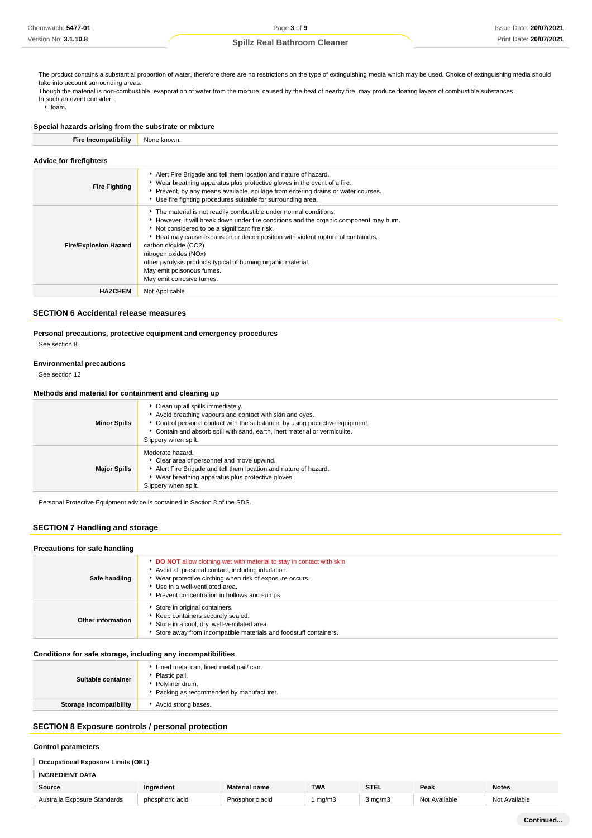The product contains a substantial proportion of water, therefore there are no restrictions on the type of extinguishing media which may be used. Choice of extinguishing media should take into account surrounding areas

Though the material is non-combustible, evaporation of water from the mixture, caused by the heat of nearby fire, may produce floating layers of combustible substances. In such an event consider:

 $h$  foam.

# **Special hazards arising from the substrate or mixture Fire Incompatibility** None known.

| <b>Advice for firefighters</b> |                                                                                                                                                                                                                                                                                                                                                                                                                                                                         |
|--------------------------------|-------------------------------------------------------------------------------------------------------------------------------------------------------------------------------------------------------------------------------------------------------------------------------------------------------------------------------------------------------------------------------------------------------------------------------------------------------------------------|
| <b>Fire Fighting</b>           | Alert Fire Brigade and tell them location and nature of hazard.<br>▶ Wear breathing apparatus plus protective gloves in the event of a fire.<br>▶ Prevent, by any means available, spillage from entering drains or water courses.<br>Use fire fighting procedures suitable for surrounding area.                                                                                                                                                                       |
| <b>Fire/Explosion Hazard</b>   | The material is not readily combustible under normal conditions.<br>However, it will break down under fire conditions and the organic component may burn.<br>Not considered to be a significant fire risk.<br>Heat may cause expansion or decomposition with violent rupture of containers.<br>carbon dioxide (CO2)<br>nitrogen oxides (NOx)<br>other pyrolysis products typical of burning organic material.<br>May emit poisonous fumes.<br>May emit corrosive fumes. |
| <b>HAZCHEM</b>                 | Not Applicable                                                                                                                                                                                                                                                                                                                                                                                                                                                          |

## **SECTION 6 Accidental release measures**

**Personal precautions, protective equipment and emergency procedures**

See section 8

#### **Environmental precautions**

See section 12

### **Methods and material for containment and cleaning up**

| <b>Minor Spills</b> | Clean up all spills immediately.<br>Avoid breathing vapours and contact with skin and eyes.<br>• Control personal contact with the substance, by using protective equipment.<br>• Contain and absorb spill with sand, earth, inert material or vermiculite.<br>Slippery when spilt. |
|---------------------|-------------------------------------------------------------------------------------------------------------------------------------------------------------------------------------------------------------------------------------------------------------------------------------|
| <b>Major Spills</b> | Moderate hazard.<br>• Clear area of personnel and move upwind.<br>Alert Fire Brigade and tell them location and nature of hazard.<br>• Wear breathing apparatus plus protective gloves.<br>Slippery when spilt.                                                                     |

Personal Protective Equipment advice is contained in Section 8 of the SDS.

## **SECTION 7 Handling and storage**

| Precautions for safe handling |                                                                                                                                                                                                                                                                        |
|-------------------------------|------------------------------------------------------------------------------------------------------------------------------------------------------------------------------------------------------------------------------------------------------------------------|
| Safe handling                 | DO NOT allow clothing wet with material to stay in contact with skin<br>Avoid all personal contact, including inhalation.<br>• Wear protective clothing when risk of exposure occurs.<br>Use in a well-ventilated area.<br>Prevent concentration in hollows and sumps. |
| Other information             | Store in original containers.<br>Keep containers securely sealed.<br>Store in a cool, dry, well-ventilated area.<br>Store away from incompatible materials and foodstuff containers.                                                                                   |

#### **Conditions for safe storage, including any incompatibilities**

| Suitable container      | Lined metal can, lined metal pail/ can.<br>Plastic pail.<br>▶ Polyliner drum.<br>Packing as recommended by manufacturer. |
|-------------------------|--------------------------------------------------------------------------------------------------------------------------|
| Storage incompatibility | Avoid strong bases.                                                                                                      |

# **SECTION 8 Exposure controls / personal protection**

#### **Control parameters**

#### I **Occupational Exposure Limits (OEL)**

#### I **INGREDIENT DATA**

| Source                       | naredient       | Material name   | <b>TWA</b> | <b>STEL</b> | Peak          | <b>Notes</b>             |
|------------------------------|-----------------|-----------------|------------|-------------|---------------|--------------------------|
| Australia Exposure Standards | phosphoric acid | Phosphoric acid | ma/m3      | 3 ma/m3     | Not Available | Available<br><b>NIOt</b> |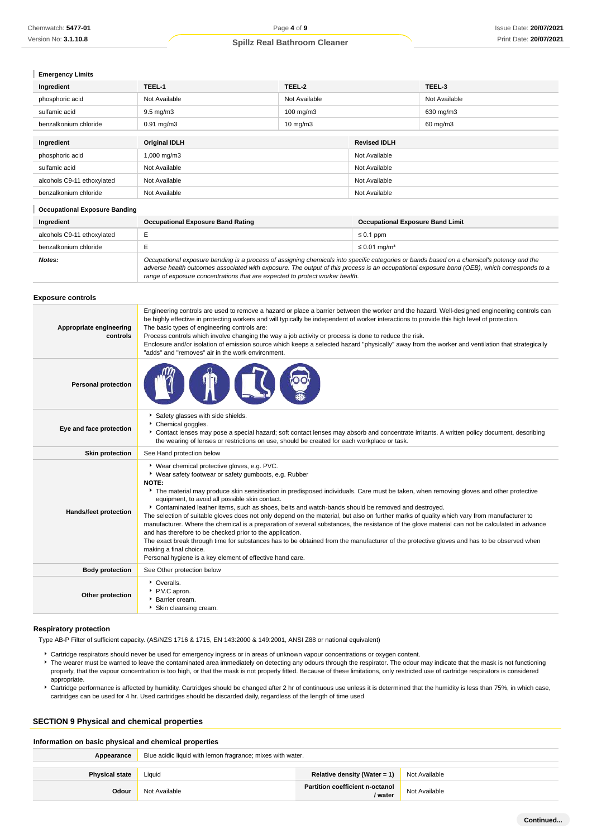| <b>Emergency Limits</b>              |                                                                                                                                                                                                                                                                                                                                                                                                                                                                                                                                                                                                                                                                 |               |               |               |
|--------------------------------------|-----------------------------------------------------------------------------------------------------------------------------------------------------------------------------------------------------------------------------------------------------------------------------------------------------------------------------------------------------------------------------------------------------------------------------------------------------------------------------------------------------------------------------------------------------------------------------------------------------------------------------------------------------------------|---------------|---------------|---------------|
| Ingredient                           | TEEL-1                                                                                                                                                                                                                                                                                                                                                                                                                                                                                                                                                                                                                                                          | TEEL-2        |               | TEEL-3        |
| phosphoric acid                      | Not Available<br>Not Available                                                                                                                                                                                                                                                                                                                                                                                                                                                                                                                                                                                                                                  |               |               | Not Available |
| sulfamic acid                        | $9.5 \text{ mg/m}$ 3<br>100 mg/m3                                                                                                                                                                                                                                                                                                                                                                                                                                                                                                                                                                                                                               |               |               | 630 mg/m3     |
| benzalkonium chloride                | $0.91$ mg/m $3$<br>$10 \text{ mg/m}$                                                                                                                                                                                                                                                                                                                                                                                                                                                                                                                                                                                                                            |               |               | 60 mg/m3      |
| Ingredient                           | <b>Original IDLH</b><br><b>Revised IDLH</b>                                                                                                                                                                                                                                                                                                                                                                                                                                                                                                                                                                                                                     |               |               |               |
| phosphoric acid                      | 1,000 mg/m3                                                                                                                                                                                                                                                                                                                                                                                                                                                                                                                                                                                                                                                     |               | Not Available |               |
| sulfamic acid                        | Not Available                                                                                                                                                                                                                                                                                                                                                                                                                                                                                                                                                                                                                                                   |               | Not Available |               |
| alcohols C9-11 ethoxylated           | Not Available                                                                                                                                                                                                                                                                                                                                                                                                                                                                                                                                                                                                                                                   | Not Available |               |               |
| benzalkonium chloride                | Not Available                                                                                                                                                                                                                                                                                                                                                                                                                                                                                                                                                                                                                                                   |               | Not Available |               |
| <b>Occupational Exposure Banding</b> |                                                                                                                                                                                                                                                                                                                                                                                                                                                                                                                                                                                                                                                                 |               |               |               |
| Ingredient                           | <b>Occupational Exposure Band Rating</b><br><b>Occupational Exposure Band Limit</b>                                                                                                                                                                                                                                                                                                                                                                                                                                                                                                                                                                             |               |               |               |
| alcohols C9-11 ethoxylated           | E<br>$\leq 0.1$ ppm                                                                                                                                                                                                                                                                                                                                                                                                                                                                                                                                                                                                                                             |               |               |               |
| benzalkonium chloride                | E<br>$\leq$ 0.01 mg/m <sup>3</sup>                                                                                                                                                                                                                                                                                                                                                                                                                                                                                                                                                                                                                              |               |               |               |
| Notes:                               | Occupational exposure banding is a process of assigning chemicals into specific categories or bands based on a chemical's potency and the<br>adverse health outcomes associated with exposure. The output of this process is an occupational exposure band (OEB), which corresponds to a<br>range of exposure concentrations that are expected to protect worker health.                                                                                                                                                                                                                                                                                        |               |               |               |
| <b>Exposure controls</b>             |                                                                                                                                                                                                                                                                                                                                                                                                                                                                                                                                                                                                                                                                 |               |               |               |
| Appropriate engineering<br>controls  | Engineering controls are used to remove a hazard or place a barrier between the worker and the hazard. Well-designed engineering controls can<br>be highly effective in protecting workers and will typically be independent of worker interactions to provide this high level of protection.<br>The basic types of engineering controls are:<br>Process controls which involve changing the way a job activity or process is done to reduce the risk.<br>Enclosure and/or isolation of emission source which keeps a selected hazard "physically" away from the worker and ventilation that strategically<br>"adds" and "removes" air in the work environment. |               |               |               |
|                                      | $\sim$                                                                                                                                                                                                                                                                                                                                                                                                                                                                                                                                                                                                                                                          |               |               |               |

|  | <b>ANTI</b> |
|--|-------------|
|--|-------------|

| Eye and face protection | Safety glasses with side shields.<br>Chemical goggles.<br>Contact lenses may pose a special hazard; soft contact lenses may absorb and concentrate irritants. A written policy document, describing<br>the wearing of lenses or restrictions on use, should be created for each workplace or task.                                                                                                                                                                                                                                                                                                                                                                                                                                                                                                                                                                                                                                                                                                                         |
|-------------------------|----------------------------------------------------------------------------------------------------------------------------------------------------------------------------------------------------------------------------------------------------------------------------------------------------------------------------------------------------------------------------------------------------------------------------------------------------------------------------------------------------------------------------------------------------------------------------------------------------------------------------------------------------------------------------------------------------------------------------------------------------------------------------------------------------------------------------------------------------------------------------------------------------------------------------------------------------------------------------------------------------------------------------|
| <b>Skin protection</b>  | See Hand protection below                                                                                                                                                                                                                                                                                                                                                                                                                                                                                                                                                                                                                                                                                                                                                                                                                                                                                                                                                                                                  |
| Hands/feet protection   | ▶ Wear chemical protective gloves, e.g. PVC.<br>▶ Wear safety footwear or safety gumboots, e.g. Rubber<br><b>NOTE:</b><br>The material may produce skin sensitisation in predisposed individuals. Care must be taken, when removing gloves and other protective<br>equipment, to avoid all possible skin contact.<br>▶ Contaminated leather items, such as shoes, belts and watch-bands should be removed and destroyed.<br>The selection of suitable gloves does not only depend on the material, but also on further marks of quality which vary from manufacturer to<br>manufacturer. Where the chemical is a preparation of several substances, the resistance of the glove material can not be calculated in advance<br>and has therefore to be checked prior to the application.<br>The exact break through time for substances has to be obtained from the manufacturer of the protective gloves and has to be observed when<br>making a final choice.<br>Personal hygiene is a key element of effective hand care. |
| <b>Body protection</b>  | See Other protection below                                                                                                                                                                                                                                                                                                                                                                                                                                                                                                                                                                                                                                                                                                                                                                                                                                                                                                                                                                                                 |
| Other protection        | • Overalls.<br>▶ P.V.C apron.<br>Barrier cream.<br>Skin cleansing cream.                                                                                                                                                                                                                                                                                                                                                                                                                                                                                                                                                                                                                                                                                                                                                                                                                                                                                                                                                   |

# **Respiratory protection**

**Personal protection**

Type AB-P Filter of sufficient capacity. (AS/NZS 1716 & 1715, EN 143:2000 & 149:2001, ANSI Z88 or national equivalent)

- Cartridge respirators should never be used for emergency ingress or in areas of unknown vapour concentrations or oxygen content.
- The wearer must be warned to leave the contaminated area immediately on detecting any odours through the respirator. The odour may indicate that the mask is not functioning properly, that the vapour concentration is too high, or that the mask is not properly fitted. Because of these limitations, only restricted use of cartridge respirators is considered appropriate.
- Cartridge performance is affected by humidity. Cartridges should be changed after 2 hr of continuous use unless it is determined that the humidity is less than 75%, in which case, cartridges can be used for 4 hr. Used cartridges should be discarded daily, regardless of the length of time used

### **SECTION 9 Physical and chemical properties**

#### **Information on basic physical and chemical properties**

| Appearance            | Blue acidic liquid with lemon fragrance; mixes with water. |                                                   |               |
|-----------------------|------------------------------------------------------------|---------------------------------------------------|---------------|
| <b>Physical state</b> | Liquid                                                     | Relative density (Water = 1)                      | Not Available |
| Odour                 | Not Available                                              | <b>Partition coefficient n-octanol</b><br>/ water | Not Available |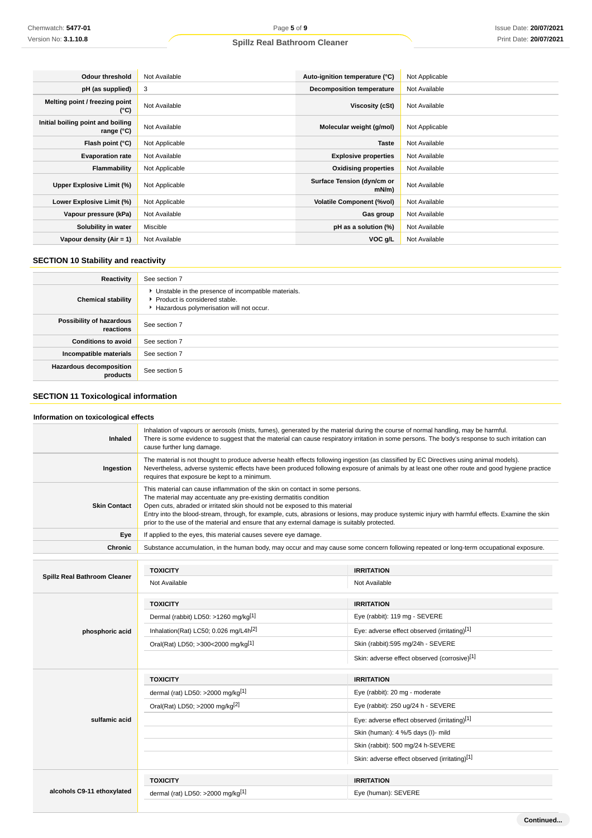| <b>Odour threshold</b>                          | Not Available  | Auto-ignition temperature (°C)         | Not Applicable |
|-------------------------------------------------|----------------|----------------------------------------|----------------|
| pH (as supplied)                                | 3              | <b>Decomposition temperature</b>       | Not Available  |
| Melting point / freezing point<br>(°C)          | Not Available  | Viscosity (cSt)                        | Not Available  |
| Initial boiling point and boiling<br>range (°C) | Not Available  | Molecular weight (g/mol)               | Not Applicable |
| Flash point (°C)                                | Not Applicable | <b>Taste</b>                           | Not Available  |
| <b>Evaporation rate</b>                         | Not Available  | <b>Explosive properties</b>            | Not Available  |
| Flammability                                    | Not Applicable | <b>Oxidising properties</b>            | Not Available  |
| Upper Explosive Limit (%)                       | Not Applicable | Surface Tension (dyn/cm or<br>$mN/m$ ) | Not Available  |
| Lower Explosive Limit (%)                       | Not Applicable | <b>Volatile Component (%vol)</b>       | Not Available  |
| Vapour pressure (kPa)                           | Not Available  | Gas group                              | Not Available  |
| Solubility in water                             | Miscible       | pH as a solution (%)                   | Not Available  |
| Vapour density $(Air = 1)$                      | Not Available  | VOC g/L                                | Not Available  |

# **SECTION 10 Stability and reactivity**

| Reactivity                                 | See section 7                                                                                                                        |
|--------------------------------------------|--------------------------------------------------------------------------------------------------------------------------------------|
| <b>Chemical stability</b>                  | • Unstable in the presence of incompatible materials.<br>▶ Product is considered stable.<br>Hazardous polymerisation will not occur. |
| Possibility of hazardous<br>reactions      | See section 7                                                                                                                        |
| <b>Conditions to avoid</b>                 | See section 7                                                                                                                        |
| Incompatible materials                     | See section 7                                                                                                                        |
| <b>Hazardous decomposition</b><br>products | See section 5                                                                                                                        |

# **SECTION 11 Toxicological information**

| Information on toxicological effects |                                                                                                                                                                                                                                                                                                                                                                                                                                                                                      |                                               |  |  |
|--------------------------------------|--------------------------------------------------------------------------------------------------------------------------------------------------------------------------------------------------------------------------------------------------------------------------------------------------------------------------------------------------------------------------------------------------------------------------------------------------------------------------------------|-----------------------------------------------|--|--|
| Inhaled                              | Inhalation of vapours or aerosols (mists, fumes), generated by the material during the course of normal handling, may be harmful.<br>There is some evidence to suggest that the material can cause respiratory irritation in some persons. The body's response to such irritation can<br>cause further lung damage.                                                                                                                                                                  |                                               |  |  |
| Ingestion                            | The material is not thought to produce adverse health effects following ingestion (as classified by EC Directives using animal models).<br>Nevertheless, adverse systemic effects have been produced following exposure of animals by at least one other route and good hygiene practice<br>requires that exposure be kept to a minimum.                                                                                                                                             |                                               |  |  |
| <b>Skin Contact</b>                  | This material can cause inflammation of the skin on contact in some persons.<br>The material may accentuate any pre-existing dermatitis condition<br>Open cuts, abraded or irritated skin should not be exposed to this material<br>Entry into the blood-stream, through, for example, cuts, abrasions or lesions, may produce systemic injury with harmful effects. Examine the skin<br>prior to the use of the material and ensure that any external damage is suitably protected. |                                               |  |  |
| Eye                                  | If applied to the eyes, this material causes severe eye damage.                                                                                                                                                                                                                                                                                                                                                                                                                      |                                               |  |  |
| <b>Chronic</b>                       | Substance accumulation, in the human body, may occur and may cause some concern following repeated or long-term occupational exposure.                                                                                                                                                                                                                                                                                                                                               |                                               |  |  |
|                                      | <b>TOXICITY</b>                                                                                                                                                                                                                                                                                                                                                                                                                                                                      | <b>IRRITATION</b>                             |  |  |
| Spillz Real Bathroom Cleaner         | Not Available                                                                                                                                                                                                                                                                                                                                                                                                                                                                        | Not Available                                 |  |  |
|                                      | <b>TOXICITY</b>                                                                                                                                                                                                                                                                                                                                                                                                                                                                      | <b>IRRITATION</b>                             |  |  |
|                                      | Dermal (rabbit) LD50: >1260 mg/kg[1]                                                                                                                                                                                                                                                                                                                                                                                                                                                 | Eye (rabbit): 119 mg - SEVERE                 |  |  |
| phosphoric acid                      | Inhalation(Rat) LC50; 0.026 mg/L4h <sup>[2]</sup>                                                                                                                                                                                                                                                                                                                                                                                                                                    | Eye: adverse effect observed (irritating)[1]  |  |  |
|                                      | Oral(Rat) LD50; >300<2000 mg/kg[1]                                                                                                                                                                                                                                                                                                                                                                                                                                                   | Skin (rabbit):595 mg/24h - SEVERE             |  |  |
|                                      |                                                                                                                                                                                                                                                                                                                                                                                                                                                                                      | Skin: adverse effect observed (corrosive)[1]  |  |  |
|                                      | <b>TOXICITY</b>                                                                                                                                                                                                                                                                                                                                                                                                                                                                      | <b>IRRITATION</b>                             |  |  |
|                                      | dermal (rat) LD50: >2000 mg/kg <sup>[1]</sup>                                                                                                                                                                                                                                                                                                                                                                                                                                        | Eye (rabbit): 20 mg - moderate                |  |  |
|                                      | Oral(Rat) LD50; >2000 mg/kg <sup>[2]</sup>                                                                                                                                                                                                                                                                                                                                                                                                                                           | Eye (rabbit): 250 ug/24 h - SEVERE            |  |  |
| sulfamic acid                        |                                                                                                                                                                                                                                                                                                                                                                                                                                                                                      | Eye: adverse effect observed (irritating)[1]  |  |  |
|                                      |                                                                                                                                                                                                                                                                                                                                                                                                                                                                                      | Skin (human): 4 %/5 days (I)- mild            |  |  |
|                                      |                                                                                                                                                                                                                                                                                                                                                                                                                                                                                      | Skin (rabbit): 500 mg/24 h-SEVERE             |  |  |
|                                      |                                                                                                                                                                                                                                                                                                                                                                                                                                                                                      | Skin: adverse effect observed (irritating)[1] |  |  |
|                                      | <b>TOXICITY</b>                                                                                                                                                                                                                                                                                                                                                                                                                                                                      | <b>IRRITATION</b>                             |  |  |
| alcohols C9-11 ethoxylated           | dermal (rat) LD50: >2000 mg/kg[1]                                                                                                                                                                                                                                                                                                                                                                                                                                                    | Eye (human): SEVERE                           |  |  |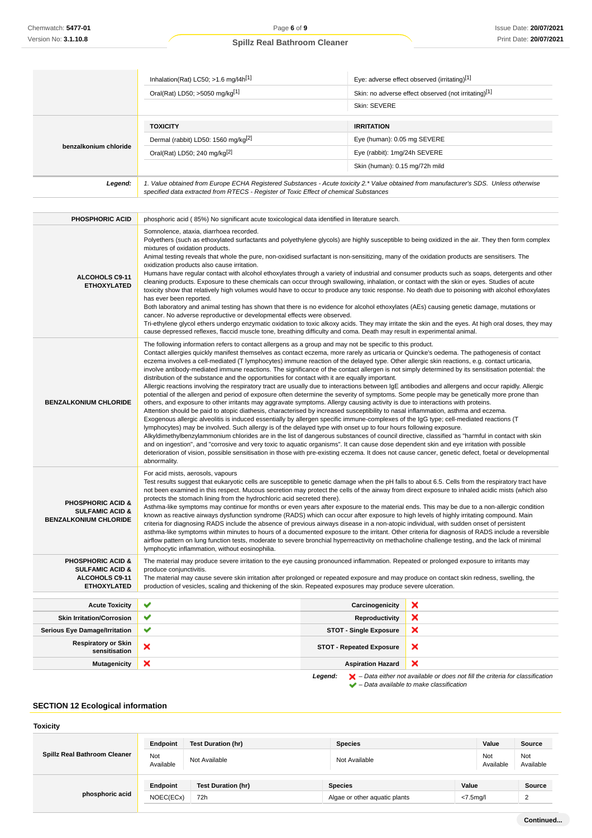|                       | Inhalation(Rat) LC50; $>1.6$ mg/l4h <sup>[1]</sup>                                                                                                                                                                              | Eye: adverse effect observed (irritating)[1]         |  |
|-----------------------|---------------------------------------------------------------------------------------------------------------------------------------------------------------------------------------------------------------------------------|------------------------------------------------------|--|
|                       | Oral(Rat) LD50; >5050 mg/kg[1]                                                                                                                                                                                                  | Skin: no adverse effect observed (not irritating)[1] |  |
|                       |                                                                                                                                                                                                                                 | Skin: SEVERE                                         |  |
|                       | <b>TOXICITY</b>                                                                                                                                                                                                                 | <b>IRRITATION</b>                                    |  |
|                       | Dermal (rabbit) LD50: 1560 mg/kg <sup>[2]</sup>                                                                                                                                                                                 | Eye (human): 0.05 mg SEVERE                          |  |
| benzalkonium chloride | Oral(Rat) LD50; 240 mg/kg <sup>[2]</sup>                                                                                                                                                                                        | Eye (rabbit): 1mg/24h SEVERE                         |  |
|                       |                                                                                                                                                                                                                                 | Skin (human): 0.15 mg/72h mild                       |  |
| Legend:               | 1. Value obtained from Europe ECHA Registered Substances - Acute toxicity 2.* Value obtained from manufacturer's SDS. Unless otherwise<br>specified data extracted from RTECS - Register of Toxic Effect of chemical Substances |                                                      |  |

| <b>PHOSPHORIC ACID</b>                                                                             | phosphoric acid (85%) No significant acute toxicological data identified in literature search.                                                                                                                                                                                                                                                                                                                                                                                                                                                                                                                                                                                                                                                                                                                                                                                                                                                                                                                                                                                                                                                                                                                                                                                                                                                                                                                                                                                                                                                                                                                                                                                                                                                                                                                                                                                                                                                                                  |                                 |                                                                                                    |
|----------------------------------------------------------------------------------------------------|---------------------------------------------------------------------------------------------------------------------------------------------------------------------------------------------------------------------------------------------------------------------------------------------------------------------------------------------------------------------------------------------------------------------------------------------------------------------------------------------------------------------------------------------------------------------------------------------------------------------------------------------------------------------------------------------------------------------------------------------------------------------------------------------------------------------------------------------------------------------------------------------------------------------------------------------------------------------------------------------------------------------------------------------------------------------------------------------------------------------------------------------------------------------------------------------------------------------------------------------------------------------------------------------------------------------------------------------------------------------------------------------------------------------------------------------------------------------------------------------------------------------------------------------------------------------------------------------------------------------------------------------------------------------------------------------------------------------------------------------------------------------------------------------------------------------------------------------------------------------------------------------------------------------------------------------------------------------------------|---------------------------------|----------------------------------------------------------------------------------------------------|
| <b>ALCOHOLS C9-11</b><br><b>ETHOXYLATED</b>                                                        | Somnolence, ataxia, diarrhoea recorded.<br>Polyethers (such as ethoxylated surfactants and polyethylene glycols) are highly susceptible to being oxidized in the air. They then form complex<br>mixtures of oxidation products.<br>Animal testing reveals that whole the pure, non-oxidised surfactant is non-sensitizing, many of the oxidation products are sensitisers. The<br>oxidization products also cause irritation.<br>Humans have regular contact with alcohol ethoxylates through a variety of industrial and consumer products such as soaps, detergents and other<br>cleaning products. Exposure to these chemicals can occur through swallowing, inhalation, or contact with the skin or eyes. Studies of acute<br>toxicity show that relatively high volumes would have to occur to produce any toxic response. No death due to poisoning with alcohol ethoxylates<br>has ever been reported.<br>Both laboratory and animal testing has shown that there is no evidence for alcohol ethoxylates (AEs) causing genetic damage, mutations or<br>cancer. No adverse reproductive or developmental effects were observed.<br>Tri-ethylene glycol ethers undergo enzymatic oxidation to toxic alkoxy acids. They may irritate the skin and the eyes. At high oral doses, they may<br>cause depressed reflexes, flaccid muscle tone, breathing difficulty and coma. Death may result in experimental animal.                                                                                                                                                                                                                                                                                                                                                                                                                                                                                                                                                          |                                 |                                                                                                    |
| <b>BENZALKONIUM CHLORIDE</b>                                                                       | The following information refers to contact allergens as a group and may not be specific to this product.<br>Contact allergies quickly manifest themselves as contact eczema, more rarely as urticaria or Quincke's oedema. The pathogenesis of contact<br>eczema involves a cell-mediated (T lymphocytes) immune reaction of the delayed type. Other allergic skin reactions, e.g. contact urticaria,<br>involve antibody-mediated immune reactions. The significance of the contact allergen is not simply determined by its sensitisation potential: the<br>distribution of the substance and the opportunities for contact with it are equally important.<br>Allergic reactions involving the respiratory tract are usually due to interactions between IgE antibodies and allergens and occur rapidly. Allergic<br>potential of the allergen and period of exposure often determine the severity of symptoms. Some people may be genetically more prone than<br>others, and exposure to other irritants may aggravate symptoms. Allergy causing activity is due to interactions with proteins.<br>Attention should be paid to atopic diathesis, characterised by increased susceptibility to nasal inflammation, asthma and eczema.<br>Exogenous allergic alveolitis is induced essentially by allergen specific immune-complexes of the IgG type; cell-mediated reactions (T<br>lymphocytes) may be involved. Such allergy is of the delayed type with onset up to four hours following exposure.<br>Alkyldimethylbenzylammonium chlorides are in the list of dangerous substances of council directive, classified as "harmful in contact with skin<br>and on ingestion", and "corrosive and very toxic to aquatic organisms". It can cause dose dependent skin and eye irritation with possible<br>deterioration of vision, possible sensitisation in those with pre-existing eczema. It does not cause cancer, genetic defect, foetal or developmental<br>abnormality. |                                 |                                                                                                    |
| <b>PHOSPHORIC ACID &amp;</b><br><b>SULFAMIC ACID &amp;</b><br><b>BENZALKONIUM CHLORIDE</b>         | For acid mists, aerosols, vapours<br>Test results suggest that eukaryotic cells are susceptible to genetic damage when the pH falls to about 6.5. Cells from the respiratory tract have<br>not been examined in this respect. Mucous secretion may protect the cells of the airway from direct exposure to inhaled acidic mists (which also<br>protects the stomach lining from the hydrochloric acid secreted there).<br>Asthma-like symptoms may continue for months or even years after exposure to the material ends. This may be due to a non-allergic condition<br>known as reactive airways dysfunction syndrome (RADS) which can occur after exposure to high levels of highly irritating compound. Main<br>criteria for diagnosing RADS include the absence of previous airways disease in a non-atopic individual, with sudden onset of persistent<br>asthma-like symptoms within minutes to hours of a documented exposure to the irritant. Other criteria for diagnosis of RADS include a reversible<br>airflow pattern on lung function tests, moderate to severe bronchial hyperreactivity on methacholine challenge testing, and the lack of minimal<br>lymphocytic inflammation, without eosinophilia.                                                                                                                                                                                                                                                                                                                                                                                                                                                                                                                                                                                                                                                                                                                                                          |                                 |                                                                                                    |
| <b>PHOSPHORIC ACID &amp;</b><br><b>SULFAMIC ACID &amp;</b><br>ALCOHOLS C9-11<br><b>ETHOXYLATED</b> | The material may produce severe irritation to the eye causing pronounced inflammation. Repeated or prolonged exposure to irritants may<br>produce conjunctivitis.<br>The material may cause severe skin irritation after prolonged or repeated exposure and may produce on contact skin redness, swelling, the<br>production of vesicles, scaling and thickening of the skin. Repeated exposures may produce severe ulceration.                                                                                                                                                                                                                                                                                                                                                                                                                                                                                                                                                                                                                                                                                                                                                                                                                                                                                                                                                                                                                                                                                                                                                                                                                                                                                                                                                                                                                                                                                                                                                 |                                 |                                                                                                    |
| <b>Acute Toxicity</b>                                                                              | ✔                                                                                                                                                                                                                                                                                                                                                                                                                                                                                                                                                                                                                                                                                                                                                                                                                                                                                                                                                                                                                                                                                                                                                                                                                                                                                                                                                                                                                                                                                                                                                                                                                                                                                                                                                                                                                                                                                                                                                                               | Carcinogenicity                 | ×                                                                                                  |
| <b>Skin Irritation/Corrosion</b>                                                                   | ✔                                                                                                                                                                                                                                                                                                                                                                                                                                                                                                                                                                                                                                                                                                                                                                                                                                                                                                                                                                                                                                                                                                                                                                                                                                                                                                                                                                                                                                                                                                                                                                                                                                                                                                                                                                                                                                                                                                                                                                               | Reproductivity                  | ×                                                                                                  |
| <b>Serious Eye Damage/Irritation</b>                                                               | ✔                                                                                                                                                                                                                                                                                                                                                                                                                                                                                                                                                                                                                                                                                                                                                                                                                                                                                                                                                                                                                                                                                                                                                                                                                                                                                                                                                                                                                                                                                                                                                                                                                                                                                                                                                                                                                                                                                                                                                                               | <b>STOT - Single Exposure</b>   | ×                                                                                                  |
| <b>Respiratory or Skin</b><br>sensitisation                                                        | ×                                                                                                                                                                                                                                                                                                                                                                                                                                                                                                                                                                                                                                                                                                                                                                                                                                                                                                                                                                                                                                                                                                                                                                                                                                                                                                                                                                                                                                                                                                                                                                                                                                                                                                                                                                                                                                                                                                                                                                               | <b>STOT - Repeated Exposure</b> | ×                                                                                                  |
| <b>Mutagenicity</b>                                                                                | ×                                                                                                                                                                                                                                                                                                                                                                                                                                                                                                                                                                                                                                                                                                                                                                                                                                                                                                                                                                                                                                                                                                                                                                                                                                                                                                                                                                                                                                                                                                                                                                                                                                                                                                                                                                                                                                                                                                                                                                               | <b>Aspiration Hazard</b>        | ×                                                                                                  |
|                                                                                                    |                                                                                                                                                                                                                                                                                                                                                                                                                                                                                                                                                                                                                                                                                                                                                                                                                                                                                                                                                                                                                                                                                                                                                                                                                                                                                                                                                                                                                                                                                                                                                                                                                                                                                                                                                                                                                                                                                                                                                                                 | Legend:                         | $\blacktriangleright$ - Data either not available or does not fill the criteria for classification |

 $\blacktriangleright$  – Data available to make classification

# **SECTION 12 Ecological information**

| Spillz Real Bathroom Cleaner | Endpoint         | Test Duration (hr) | <b>Species</b>                | Value            | Source           |
|------------------------------|------------------|--------------------|-------------------------------|------------------|------------------|
|                              | Not<br>Available | Not Available      | Not Available                 | Not<br>Available | Not<br>Available |
| phosphoric acid              | Endpoint         | Test Duration (hr) | <b>Species</b>                | Value            | Source           |
|                              | NOEC(ECx)        | 72h                | Algae or other aguatic plants | $< 7.5$ mg/l     | $\Omega$<br>∼    |
|                              |                  |                    |                               |                  |                  |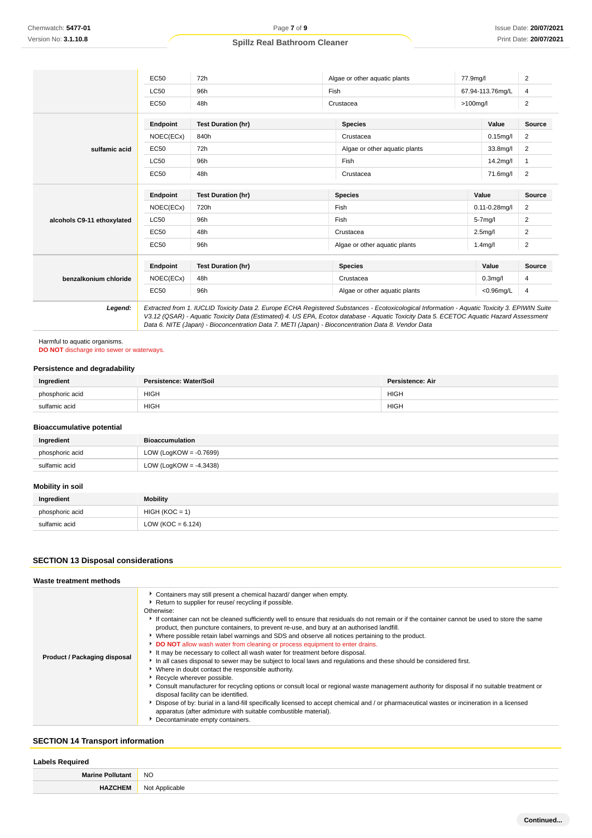|                            | <b>EC50</b> | 72h                                                                                                                                                                                                                                                                                                                                                                                             | Algae or other aquatic plants | 77.9mg/l    |                      | 2              |
|----------------------------|-------------|-------------------------------------------------------------------------------------------------------------------------------------------------------------------------------------------------------------------------------------------------------------------------------------------------------------------------------------------------------------------------------------------------|-------------------------------|-------------|----------------------|----------------|
|                            | <b>LC50</b> | 96h                                                                                                                                                                                                                                                                                                                                                                                             | Fish                          |             | 67.94-113.76mg/L     | 4              |
|                            | <b>EC50</b> | 48h                                                                                                                                                                                                                                                                                                                                                                                             | Crustacea                     | $>100$ mg/l |                      | $\overline{c}$ |
|                            | Endpoint    | <b>Test Duration (hr)</b>                                                                                                                                                                                                                                                                                                                                                                       | <b>Species</b>                |             | Value                | Source         |
|                            | NOEC(ECx)   | 840h                                                                                                                                                                                                                                                                                                                                                                                            | Crustacea                     |             | $0.15$ mg/l          | 2              |
| sulfamic acid              | EC50        | 72h                                                                                                                                                                                                                                                                                                                                                                                             | Algae or other aquatic plants |             | 33.8mg/l             | $\overline{2}$ |
|                            | <b>LC50</b> | 96h                                                                                                                                                                                                                                                                                                                                                                                             | Fish                          |             | 14.2mg/l             | $\mathbf{1}$   |
|                            | EC50        | 48h                                                                                                                                                                                                                                                                                                                                                                                             | Crustacea                     |             | 71.6mg/l             | 2              |
|                            | Endpoint    | <b>Test Duration (hr)</b>                                                                                                                                                                                                                                                                                                                                                                       | <b>Species</b>                | Value       |                      | Source         |
| alcohols C9-11 ethoxylated | NOEC(ECx)   | 720h                                                                                                                                                                                                                                                                                                                                                                                            | Fish                          |             | $0.11 - 0.28$ mg/l   |                |
|                            | <b>LC50</b> | 96h                                                                                                                                                                                                                                                                                                                                                                                             | Fish                          |             | $5-7$ mg/l           |                |
|                            | <b>EC50</b> | 48h                                                                                                                                                                                                                                                                                                                                                                                             | Crustacea                     |             | 2.5 <sub>mq</sub> /l |                |
|                            | EC50        | 96h                                                                                                                                                                                                                                                                                                                                                                                             | Algae or other aquatic plants |             | $1.4$ mg/l           |                |
|                            | Endpoint    | <b>Test Duration (hr)</b>                                                                                                                                                                                                                                                                                                                                                                       | <b>Species</b>                |             | Value                | Source         |
| benzalkonium chloride      | NOEC(ECx)   | 48h                                                                                                                                                                                                                                                                                                                                                                                             | Crustacea                     |             | 0.3 <sub>mq</sub> /I |                |
|                            | EC50        | 96h                                                                                                                                                                                                                                                                                                                                                                                             | Algae or other aquatic plants |             | $<$ 0.96 $mq/L$      | 4              |
| Legend:                    |             | Extracted from 1. IUCLID Toxicity Data 2. Europe ECHA Registered Substances - Ecotoxicological Information - Aquatic Toxicity 3. EPIWIN Suite<br>V3.12 (QSAR) - Aquatic Toxicity Data (Estimated) 4. US EPA, Ecotox database - Aquatic Toxicity Data 5. ECETOC Aquatic Hazard Assessment<br>Data 6. NITE (Japan) - Bioconcentration Data 7. METI (Japan) - Bioconcentration Data 8. Vendor Data |                               |             |                      |                |

Harmful to aquatic organisms. **DO NOT** discharge into sewer or waterways.

# **Persistence and degradability**

| Ingredient      | Persistence: Water/Soil | <b>Persistence: Air</b> |
|-----------------|-------------------------|-------------------------|
| phosphoric acid | <b>HIGH</b>             | HIGH                    |
| sulfamic acid   | <b>HIGH</b>             | <b>HIGH</b>             |

### **Bioaccumulative potential**

| Ingredient      | Bioaccumulation           |
|-----------------|---------------------------|
| phosphoric acid | LOW (LogKOW = $-0.7699$ ) |
| sulfamic acid   | LOW (LogKOW = $-4.3438$ ) |

# **Mobility in soil**

| Ingredient      | <b>Mobility</b>     |
|-----------------|---------------------|
| phosphoric acid | $HIGH (KOC = 1)$    |
| sulfamic acid   | $LOW (KOC = 6.124)$ |

# **SECTION 13 Disposal considerations**

## **Waste treatment methods**

| Product / Packaging disposal | Containers may still present a chemical hazard/ danger when empty.<br>Return to supplier for reuse/ recycling if possible.<br>Otherwise:<br>If container can not be cleaned sufficiently well to ensure that residuals do not remain or if the container cannot be used to store the same<br>product, then puncture containers, to prevent re-use, and bury at an authorised landfill.<br>Where possible retain label warnings and SDS and observe all notices pertaining to the product.<br>DO NOT allow wash water from cleaning or process equipment to enter drains.<br>It may be necessary to collect all wash water for treatment before disposal.<br>In all cases disposal to sewer may be subject to local laws and regulations and these should be considered first.<br>Where in doubt contact the responsible authority.<br>Recycle wherever possible.<br>Consult manufacturer for recycling options or consult local or regional waste management authority for disposal if no suitable treatment or<br>disposal facility can be identified.<br>Dispose of by: burial in a land-fill specifically licensed to accept chemical and / or pharmaceutical wastes or incineration in a licensed<br>apparatus (after admixture with suitable combustible material).<br>Decontaminate empty containers. |
|------------------------------|-------------------------------------------------------------------------------------------------------------------------------------------------------------------------------------------------------------------------------------------------------------------------------------------------------------------------------------------------------------------------------------------------------------------------------------------------------------------------------------------------------------------------------------------------------------------------------------------------------------------------------------------------------------------------------------------------------------------------------------------------------------------------------------------------------------------------------------------------------------------------------------------------------------------------------------------------------------------------------------------------------------------------------------------------------------------------------------------------------------------------------------------------------------------------------------------------------------------------------------------------------------------------------------------------------------|

# **SECTION 14 Transport information**

### **Labels Required**

| M <sub>o</sub><br>the contract of the contract of the contract of | <b>NO</b>              |
|-------------------------------------------------------------------|------------------------|
|                                                                   | Applicable<br>N01<br>. |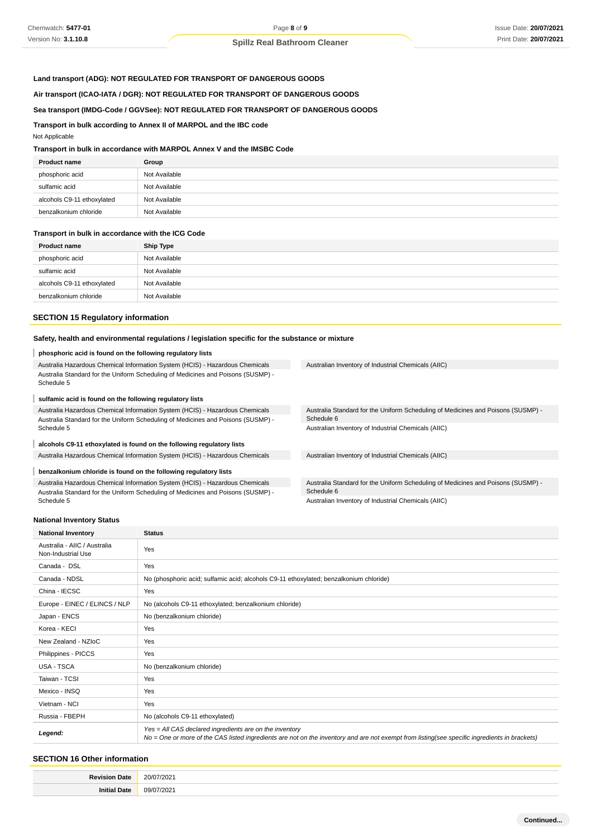# **Land transport (ADG): NOT REGULATED FOR TRANSPORT OF DANGEROUS GOODS**

**Air transport (ICAO-IATA / DGR): NOT REGULATED FOR TRANSPORT OF DANGEROUS GOODS**

## **Sea transport (IMDG-Code / GGVSee): NOT REGULATED FOR TRANSPORT OF DANGEROUS GOODS**

**Transport in bulk according to Annex II of MARPOL and the IBC code**

#### Not Applicable

# **Transport in bulk in accordance with MARPOL Annex V and the IMSBC Code**

| <b>Product name</b>        | Group         |
|----------------------------|---------------|
| phosphoric acid            | Not Available |
| sulfamic acid              | Not Available |
| alcohols C9-11 ethoxylated | Not Available |
| benzalkonium chloride      | Not Available |

#### **Transport in bulk in accordance with the ICG Code**

| <b>Product name</b>        | <b>Ship Type</b> |
|----------------------------|------------------|
| phosphoric acid            | Not Available    |
| sulfamic acid              | Not Available    |
| alcohols C9-11 ethoxylated | Not Available    |
| benzalkonium chloride      | Not Available    |

#### **SECTION 15 Regulatory information**

#### **Safety, health and environmental regulations / legislation specific for the substance or mixture**

#### **phosphoric acid is found on the following regulatory lists** I

| Australia Hazardous Chemical Information System (HCIS) - Hazardous Chemicals                   |  |
|------------------------------------------------------------------------------------------------|--|
| Australia Standard for the Uniform Scheduling of Medicines and Poisons (SUSMP) -<br>Schedule 5 |  |

#### **sulfamic acid is found on the following regulatory lists**

Australia Hazardous Chemical Information System (HCIS) - Hazardous Chemicals Australia Standard for the Uniform Scheduling of Medicines and Poisons (SUSMP) - Schedule 5

#### **alcohols C9-11 ethoxylated is found on the following regulatory lists**

Australia Hazardous Chemical Information System (HCIS) - Hazardous Chemicals Australian Inventory of Industrial Chemicals (AIIC)

#### ı **benzalkonium chloride is found on the following regulatory lists**

Australia Hazardous Chemical Information System (HCIS) - Hazardous Chemicals Australia Standard for the Uniform Scheduling of Medicines and Poisons (SUSMP) - Schedule 5

Australian Inventory of Industrial Chemicals (AIIC)

Australia Standard for the Uniform Scheduling of Medicines and Poisons (SUSMP) - Schedule 6 Australian Inventory of Industrial Chemicals (AIIC)

Australia Standard for the Uniform Scheduling of Medicines and Poisons (SUSMP) - Schedule 6

Australian Inventory of Industrial Chemicals (AIIC)

#### **National Inventory Status**

| <b>National Inventory</b>                          | <b>Status</b>                                                                                                                                                                                            |
|----------------------------------------------------|----------------------------------------------------------------------------------------------------------------------------------------------------------------------------------------------------------|
| Australia - AIIC / Australia<br>Non-Industrial Use | Yes                                                                                                                                                                                                      |
| Canada - DSL                                       | Yes                                                                                                                                                                                                      |
| Canada - NDSL                                      | No (phosphoric acid; sulfamic acid; alcohols C9-11 ethoxylated; benzalkonium chloride)                                                                                                                   |
| China - IECSC                                      | Yes                                                                                                                                                                                                      |
| Europe - EINEC / ELINCS / NLP                      | No (alcohols C9-11 ethoxylated; benzalkonium chloride)                                                                                                                                                   |
| Japan - ENCS                                       | No (benzalkonium chloride)                                                                                                                                                                               |
| Korea - KECI                                       | Yes                                                                                                                                                                                                      |
| New Zealand - NZIoC                                | Yes                                                                                                                                                                                                      |
| Philippines - PICCS                                | Yes                                                                                                                                                                                                      |
| USA - TSCA                                         | No (benzalkonium chloride)                                                                                                                                                                               |
| Taiwan - TCSI                                      | Yes                                                                                                                                                                                                      |
| Mexico - INSQ                                      | Yes                                                                                                                                                                                                      |
| Vietnam - NCI                                      | Yes                                                                                                                                                                                                      |
| Russia - FBEPH                                     | No (alcohols C9-11 ethoxylated)                                                                                                                                                                          |
| Legend:                                            | Yes = All CAS declared ingredients are on the inventory<br>No = One or more of the CAS listed ingredients are not on the inventory and are not exempt from listing(see specific ingredients in brackets) |

## **SECTION 16 Other information**

| ۱a۴<br><b>DAUGH</b><br>. | 20/0<br>1/202'<br>. |
|--------------------------|---------------------|
|                          | 09/07<br>1/202'     |